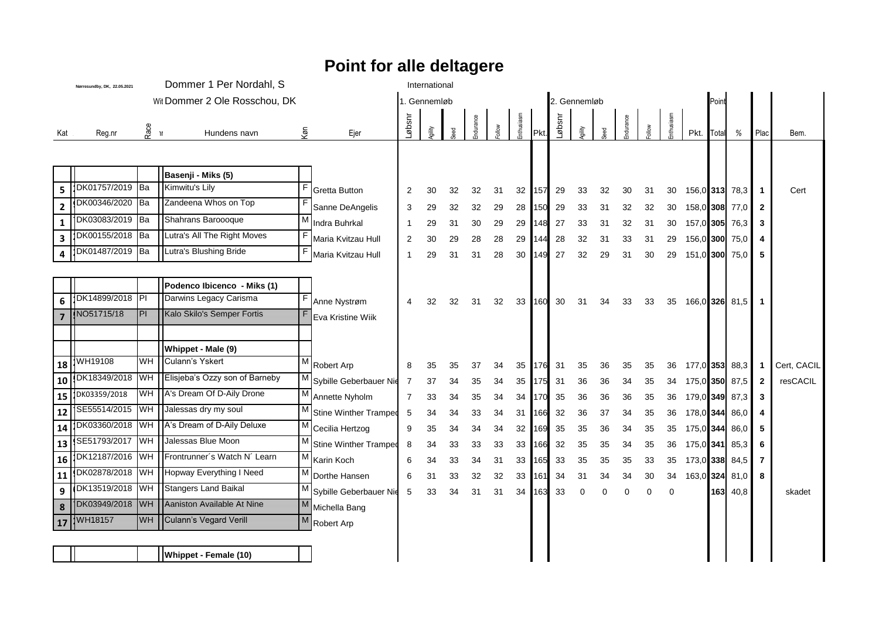## **Point for alle deltagere**

|                 | Dommer 1 Per Nordahl, S<br>Nørresundby, DK, 22.05.2021 |           |                                |     |                              | International  |              |     |          |       |           |             |              |        |          |          |    |             |      |        |                |              |             |
|-----------------|--------------------------------------------------------|-----------|--------------------------------|-----|------------------------------|----------------|--------------|-----|----------|-------|-----------|-------------|--------------|--------|----------|----------|----|-------------|------|--------|----------------|--------------|-------------|
|                 |                                                        |           | Wit Dommer 2 Ole Rosschou, DK  |     |                              |                | 1. Gennemløb |     |          |       |           |             | 2. Gennemløb |        |          |          |    |             |      | Poin   |                |              |             |
|                 |                                                        |           |                                |     |                              |                |              |     |          |       |           |             |              |        |          |          |    |             |      |        |                |              |             |
| Kat             | Reg.nr                                                 | ಗ<br>ಗೋ   | Hundens navn                   | køn | Ejer                         | nsqø-          | gility       | pec | ndurance | Molle | nthusiasm | <b>IPkt</b> | nsqø         | gility |          |          |    |             | Pkt. | Totall | %              | Plac         | Bem.        |
|                 |                                                        |           |                                |     |                              |                |              |     |          |       |           |             |              |        |          |          |    |             |      |        |                |              |             |
|                 |                                                        |           |                                |     |                              |                |              |     |          |       |           |             |              |        |          |          |    |             |      |        |                |              |             |
|                 |                                                        |           | Basenji - Miks (5)             |     |                              |                |              |     |          |       |           |             |              |        |          |          |    |             |      |        |                |              |             |
| 5               | DK01757/2019 Ba                                        |           | Kimwitu's Lily                 | F   | <b>Gretta Button</b>         | 2              | 30           | 32  | 32       | 31    | 32        | 157         | 29           | 33     | 32       | 30       | 31 | 30          |      |        | 156,0 313 78,3 | 1            | Cert        |
| $\mathbf{2}$    | DK00346/2020 Ba                                        |           | Zandeena Whos on Top           |     | Sanne DeAngelis              | 3              | 29           | 32  | 32       | 29    | 28        | 150         | 29           | 33     | 31       | 32       | 32 | 30          |      |        | 158,0 308 77,0 | $\mathbf{2}$ |             |
| 1               | DK03083/2019 Ba                                        |           | Shahrans Baroooque             | M   | Indra Buhrkal                | -1             | 29           | 31  | 30       | 29    | 29        | 148         | 27           | 33     | 31       | 32       | 31 | 30          |      |        | 157,0 305 76,3 | 3            |             |
| 3               | DK00155/2018 Ba                                        |           | Lutra's All The Right Moves    | F   | Maria Kvitzau Hull           | 2              | 30           | 29  | 28       | 28    | 29        | 144         | 28           | 32     | 31       | 33       | 31 | 29          |      |        | 156,0 300 75,0 | 4            |             |
| 4               | DK01487/2019                                           | <b>Ba</b> | Lutra's Blushing Bride         | F   | Maria Kvitzau Hull           | -1             | 29           | 31  | 31       | 28    | 30        | 149         | 27           | 32     | 29       | 31       | 30 | 29          |      |        | 151,0 300 75,0 | 5            |             |
|                 |                                                        |           |                                |     |                              |                |              |     |          |       |           |             |              |        |          |          |    |             |      |        |                |              |             |
|                 |                                                        |           | Podenco Ibicenco - Miks (1)    |     |                              |                |              |     |          |       |           |             |              |        |          |          |    |             |      |        |                |              |             |
| 6               | DK14899/2018 PI                                        |           | Darwins Legacy Carisma         | F   | Anne Nystrøm                 | 4              | 32           | 32  | 31       | 32    | 33        | 160         | 30           | 31     | 34       | 33       | 33 | 35          |      |        | 166,0 326 81,5 |              |             |
| 7               | NO51715/18                                             | ΡΕ        | Kalo Skilo's Semper Fortis     | F   | Eva Kristine Wiik            |                |              |     |          |       |           |             |              |        |          |          |    |             |      |        |                |              |             |
|                 |                                                        |           |                                |     |                              |                |              |     |          |       |           |             |              |        |          |          |    |             |      |        |                |              |             |
|                 |                                                        |           | Whippet - Male (9)             |     |                              |                |              |     |          |       |           |             |              |        |          |          |    |             |      |        |                |              |             |
| 18              | WH19108                                                | WH        | Culann's Yskert                |     | M Robert Arp                 | 8              | 35           | 35  | 37       | 34    | 35        | 176         | 31           | 35     | 36       | 35       | 35 | 36          |      |        | 177,0 353 88,3 |              | Cert, CACIL |
| 10              | DK18349/2018 WH                                        |           | Elisjeba's Ozzy son of Barneby | М   | Sybille Geberbauer Nie       | $\overline{7}$ | 37           | 34  | 35       | 34    | 35        | 175         | 31           | 36     | 36       | 34       | 35 | 34          |      |        | 175,0 350 87,5 | $\mathbf{2}$ | resCACIL    |
| 15              | DK03359/2018                                           | <b>WH</b> | A's Dream Of D-Aily Drone      |     | M<br>Annette Nyholm          | 7              | 33           | 34  | 35       | 34    | 34        | 170         | 35           | 36     | 36       | 36       | 35 | 36          |      |        | 179,0 349 87,3 | 3            |             |
| 12              | SE55514/2015 WH                                        |           | Jalessas dry my soul           |     | M Stine Winther Tramped      | 5              | 34           | 34  | 33       | 34    | 31        | 166         | 32           | 36     | 37       | 34       | 35 | 36          |      |        | 178,0 344 86,0 | 4            |             |
| 14              | DK03360/2018                                           | <b>WH</b> | A's Dream of D-Aily Deluxe     |     | M Cecilia Hertzog            | 9              | 35           | 34  | 34       | 34    | 32        | 169         | 35           | 35     | 36       | 34       | 35 | 35          |      |        | 175,0 344 86,0 | 5            |             |
| 13              | SE51793/2017 WH                                        |           | Jalessas Blue Moon             | M   | <b>Stine Winther Tramped</b> | 8              | 34           | 33  | 33       | 33    | 33        | 166         | 32           | 35     | 35       | 34       | 35 | 36          |      |        | 175,0 341 85,3 | 6            |             |
| 16              | DK12187/2016 WH                                        |           | Frontrunner's Watch N' Learn   |     | $M$ Karin Koch               | 6              | 34           | 33  | 34       | 31    | 33        | 165         | 33           | 35     | 35       | 35       | 33 | 35          |      |        | 173,0 338 84,5 | 7            |             |
| 11              | DK02878/2018 WH                                        |           | Hopway Everything I Need       |     | M Dorthe Hansen              | 6              | 31           | 33  | 32       | 32    | 33        | 161         | 34           | 31     | 34       | 34       | 30 | 34          |      |        | 163,0 324 81,0 | 8            |             |
| 9               | DK13519/2018                                           | WH        | Stangers Land Baikal           | М   | Sybille Geberbauer Nie       | 5              | 33           | 34  | 31       | 31    | 34        | 163         | 33           | 0      | $\Omega$ | $\Omega$ | 0  | $\mathbf 0$ |      |        | 163 40,8       |              | skadet      |
| 8               | DK03949/2018 WH                                        |           | Aaniston Available At Nine     |     | Michella Bang                |                |              |     |          |       |           |             |              |        |          |          |    |             |      |        |                |              |             |
| $\overline{17}$ | WH18157                                                | WĦ        | Culann's Vegard Verill         | М   | Robert Arp                   |                |              |     |          |       |           |             |              |        |          |          |    |             |      |        |                |              |             |
|                 |                                                        |           |                                |     |                              |                |              |     |          |       |           |             |              |        |          |          |    |             |      |        |                |              |             |
|                 |                                                        |           | Whippet - Female (10)          |     |                              |                |              |     |          |       |           |             |              |        |          |          |    |             |      |        |                |              |             |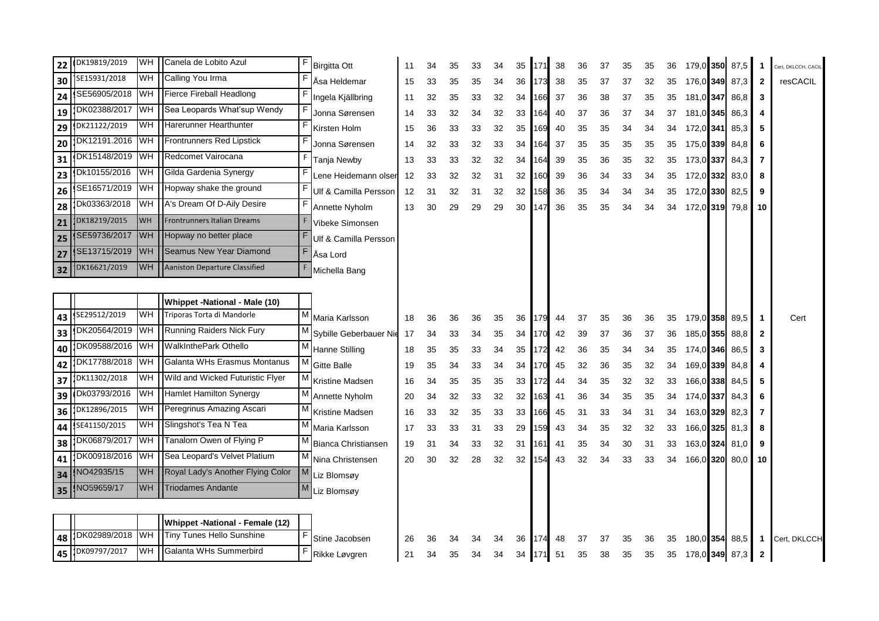| 22 | DK19819/2019 | <b>WH</b>  | Canela de Lobito Azul             | F            | <b>Birgitta Ott</b>        | 11 | 34 | 35 | 33 | 34 | 35 | 171 | 38 | 36 | 37 | 35 | 35 | 36 |                | 179,0 350 87,5 | $\mathbf 1$             | Cert, DKLCCH, CACIL |
|----|--------------|------------|-----------------------------------|--------------|----------------------------|----|----|----|----|----|----|-----|----|----|----|----|----|----|----------------|----------------|-------------------------|---------------------|
| 30 | SE15931/2018 | WН         | Calling You Irma                  | F            | Asa Heldemar               | 15 | 33 | 35 | 35 | 34 | 36 | 173 | 38 | 35 | 37 | 37 | 32 | 35 | 176,0 349      | 87,3           | $\overline{\mathbf{2}}$ | resCACIL            |
| 24 | SE56905/2018 | <b>WH</b>  | Fierce Fireball Headlong          | F            | Ingela Kjällbring          | 11 | 32 | 35 | 33 | 32 | 34 | 166 | 37 | 36 | 38 | 37 | 35 | 35 | 181,0 347      | 86,8           | 3                       |                     |
| 19 | DK02388/2017 | <b>WH</b>  | Sea Leopards What'sup Wendy       | F            | Jonna Sørensen             | 14 | 33 | 32 | 34 | 32 | 33 | 64  | 40 | 37 | 36 | 37 | 34 | 37 | 181,0 345      | 86,3           | 4                       |                     |
| 29 | DK21122/2019 | WH         | Harerunner Hearthunter            | F            | Kirsten Holm               | 15 | 36 | 33 | 33 | 32 | 35 | 169 | 40 | 35 | 35 | 34 | 34 | 34 | 172,0 341      | 85,3           | 5                       |                     |
| 20 | DK12191.2016 | <b>IWH</b> | Frontrunners Red Lipstick         |              | Jonna Sørensen             | 14 | 32 | 33 | 32 | 33 | 34 | 164 | 37 | 35 | 35 | 35 | 35 | 35 | 175,0 339      | 84,8           | 6                       |                     |
| 31 | DK15148/2019 | <b>IWH</b> | Redcomet Vairocana                | F            | Tanja Newby                | 13 | 33 | 33 | 32 | 32 | 34 | 164 | 39 | 35 | 36 | 35 | 32 | 35 | 173,0 337 84,3 |                | 7                       |                     |
| 23 | Dk10155/2016 | <b>WH</b>  | Gilda Gardenia Synergy            |              | Lene Heidemann olser       | 12 | 33 | 32 | 32 | 31 | 32 | 160 | 39 | 36 | 34 | 33 | 34 | 35 | 172,0 332      | 83,0           | 8                       |                     |
| 26 | SE16571/2019 | WН         | Hopway shake the ground           | F            | Ulf & Camilla Persson      | 12 | 31 | 32 | 31 | 32 | 32 | 158 | 36 | 35 | 34 | 34 | 34 | 35 | 172,0 330      | 82,5           | 9                       |                     |
| 28 | Dk03363/2018 | <b>WH</b>  | A's Dream Of D-Aily Desire        |              | Annette Nyholm             | 13 | 30 | 29 | 29 | 29 | 30 | 47  | 36 | 35 | 35 | 34 | 34 | 34 | 172,0319       | 79.8           | 10                      |                     |
| 21 | DK18219/2015 | WIE        | Frontrunners Italian Dreams       |              | Vibeke Simonsen            |    |    |    |    |    |    |     |    |    |    |    |    |    |                |                |                         |                     |
| 25 | SE59736/2017 | WH         | Hopway no better place            |              | Ulf & Camilla Persson      |    |    |    |    |    |    |     |    |    |    |    |    |    |                |                |                         |                     |
| 27 | SE13715/2019 | WĦ         | Seamus New Year Diamond           | E            | Asa Lord                   |    |    |    |    |    |    |     |    |    |    |    |    |    |                |                |                         |                     |
| 32 | DK16621/2019 | WH         | Aaniston Departure Classified     | £            | Michella Bang              |    |    |    |    |    |    |     |    |    |    |    |    |    |                |                |                         |                     |
|    |              |            |                                   |              |                            |    |    |    |    |    |    |     |    |    |    |    |    |    |                |                |                         |                     |
|    |              |            | Whippet -National - Male (10)     |              |                            |    |    |    |    |    |    |     |    |    |    |    |    |    |                |                |                         |                     |
| 43 | SE29512/2019 | WH         | Triporas Torta di Mandorle        | М            | Maria Karlsson             | 18 | 36 | 36 | 36 | 35 | 36 | 179 | 44 | 37 | 35 | 36 | 36 | 35 | 179,0 358      | 89,5           | -1                      | Cert                |
| 33 | DK20564/2019 | <b>IWH</b> | <b>Running Raiders Nick Fury</b>  | М            | Sybille Geberbauer Nie     | 17 | 34 | 33 | 34 | 35 | 34 | 170 | 42 | 39 | 37 | 36 | 37 | 36 | 185,0 355      | 88,8           | $\mathbf{2}$            |                     |
| 40 | DK09588/2016 | <b>WH</b>  | <b>WalkInthePark Othello</b>      | М            | Hanne Stilling             | 18 | 35 | 35 | 33 | 34 | 35 | 172 | 42 | 36 | 35 | 34 | 34 | 35 | 174,0 346      | 86,5           | 3                       |                     |
| 42 | DK17788/2018 | <b>IWH</b> | Galanta WHs Erasmus Montanus      | M            | <b>Gitte Balle</b>         | 19 | 35 | 34 | 33 | 34 | 34 | 170 | 45 | 32 | 36 | 35 | 32 | 34 | 169,0 339      | 84,8           |                         |                     |
| 37 | DK11302/2018 | <b>WH</b>  | Wild and Wicked Futuristic Flyer  | M            | Kristine Madsen            | 16 | 34 | 35 | 35 | 35 | 33 | 172 | 44 | 34 | 35 | 32 | 32 | 33 | 166,0 338      | 84,5           | 5                       |                     |
| 39 | Dk03793/2016 | <b>WH</b>  | <b>Hamlet Hamilton Synergy</b>    | М            | Annette Nyholm             | 20 | 34 | 32 | 33 | 32 | 32 | 163 | 41 | 36 | 34 | 35 | 35 | 34 | 174,0 337      | 84,3           | 6                       |                     |
| 36 | DK12896/2015 | WН         | Peregrinus Amazing Ascari         | М            | Kristine Madsen            | 16 | 33 | 32 | 35 | 33 | 33 | 166 | 45 | 31 | 33 | 34 | 31 | 34 | 163,0 329      | 82,3           | 7                       |                     |
| 44 | SE41150/2015 | WH         | Slingshot's Tea N Tea             | М            | Maria Karlsson             | 17 | 33 | 33 | 31 | 33 | 29 | 59  | 43 | 34 | 35 | 32 | 32 | 33 | 166,0 325      | 81,3           | 8                       |                     |
| 38 | DK06879/2017 | <b>WH</b>  | Tanalorn Owen of Flying P         | М            | <b>Bianca Christiansen</b> | 19 | 31 | 34 | 33 | 32 | 31 | 161 | 41 | 35 | 34 | 30 | 31 | 33 | 163,0 324      | 81,0           | 9                       |                     |
| 41 | DK00918/2016 | <b>WH</b>  | Sea Leopard's Velvet Platium      | М            | Nina Christensen           | 20 | 30 | 32 | 28 | 32 | 32 | 154 | 43 | 32 | 34 | 33 | 33 | 34 | 166,0 320 80,0 |                | 10                      |                     |
| 34 | VO42935/15   | WH         | Royal Lady's Another Flying Color | $\mathbb{M}$ | Liz Blomsøy                |    |    |    |    |    |    |     |    |    |    |    |    |    |                |                |                         |                     |
| 35 | NO59659/17   | ₩Ħ         | <b>Triodames Andante</b>          | $\mathbb{M}$ | Liz Blomsøy                |    |    |    |    |    |    |     |    |    |    |    |    |    |                |                |                         |                     |
|    |              |            |                                   |              |                            |    |    |    |    |    |    |     |    |    |    |    |    |    |                |                |                         |                     |
|    |              |            | Whippet -National - Female (12)   |              |                            |    |    |    |    |    |    |     |    |    |    |    |    |    |                |                |                         |                     |
| 48 | DK02989/2018 | <b>WH</b>  | Tiny Tunes Hello Sunshine         | F            | Stine Jacobsen             | 26 | 36 | 34 | 34 | 34 | 36 | 174 | 48 | 37 | 37 | 35 | 36 | 35 |                | 180,0 354 88,5 | $\mathbf{1}$            | Cert, DKLCCH        |
| 45 | DK09797/2017 | <b>WH</b>  | Galanta WHs Summerbird            | F            | Rikke Løvgren              | 21 | 34 | 35 | 34 | 34 | 34 | 171 | 51 | 35 | 38 | 35 | 35 | 35 | 178,0 349 87,3 |                | $\mathbf{2}$            |                     |
|    |              |            |                                   |              |                            |    |    |    |    |    |    |     |    |    |    |    |    |    |                |                |                         |                     |